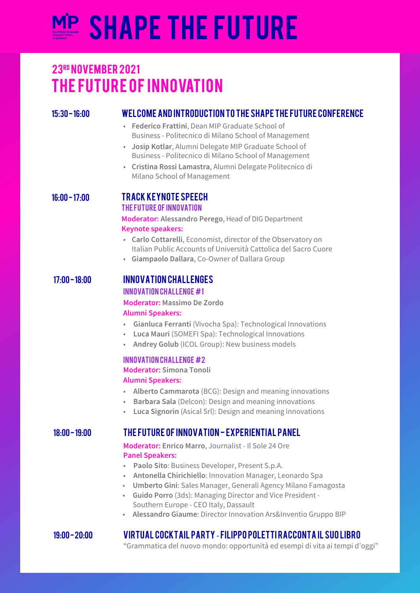# **SHAPE THE FUTURE**

# THE FUTURE OF INNOVATION 23RD NOVEMBER 2021

#### 15:30 - 16:00 Welcome and introduction to the Shape the Future Conference

- Federico Frattini, Dean MIP Graduate School of Business - Politecnico di Milano School of Management
- Josip Kotlar, Alumni Delegate MIP Graduate School of Business - Politecnico di Milano School of Management
- · Cristina Rossi Lamastra, Alumni Delegate Politecnico di Milano School of Management

### 16:00 - 17:00 Track Keynote Speech

#### The Future of Innovation

Moderator: Alessandro Perego, Head of DIG Department **Keynote speakers:** 

- Carlo Cottarelli, Economist, director of the Observatory on Italian Public Accounts of Università Cattolica del Sacro Cuore
- Giampaolo Dallara, Co-Owner of Dallara Group

#### 17:00 - 18:00 Innovation Challenges Innovation Challenge #1

Moderator: Massimo De Zordo **Alumni Speakers:** 

- Gianluca Ferranti (Vivocha Spa): Technological Innovations
- Luca Mauri (SOMEFI Spa): Technological Innovations .<br>.
- Andrey Golub (ICOL Group): New business models

#### Innovation Challenge #2

**Moderator: Simona Tonoli Alumni Speakers:** 

- Alberto Cammarota (BCG): Design and meaning innovations
- Barbara Sala (Delcon): Design and meaning innovations
- Luca Signorin (Asical Srl): Design and meaning innovations

#### 18:00 - 19:00 The Future of Innovation - Experiential Panel

Moderator: Enrico Marro, Journalist - Il Sole 24 Ore **Panel Speakers:** 

- Paolo Sito: Business Developer, Present S.p.A.
- Antonella Chirichiello: Innovation Manager, Leonardo Spa
- Umberto Gini: Sales Manager, Generali Agency Milano Famagosta
- Guido Porro (3ds): Managing Director and Vice President -Southern Europe - CEO Italy, Dassault
- Alessandro Giaume: Director Innovation Ars&Inventio Gruppo BIP

### 19:00 - 20:00 Virtual Cocktail Party - Filippo Poletti racconta il suo libro

"Grammatica del nuovo mondo: opportunità ed esempi di vita ai tempi d'oggi"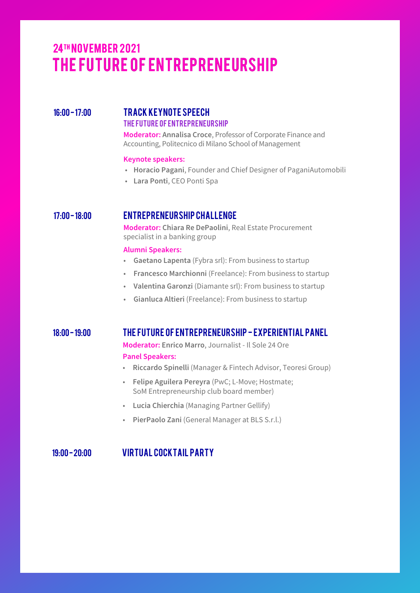# THE FUTURE OF ENTREPRENEURSHIP 24TH NOVEMBER 2021

#### 16:00-17:00 TRACK KEYNOTE SPEECH The Future of Entrepreneurship

Moderator: Annalisa Croce, Professor of Corporate Finance and Accounting, Politecnico di Milano School of Management

#### **Keynote speakers:**

- Horacio Pagani, Founder and Chief Designer of PaganiAutomobili
- · Lara Ponti, CEO Ponti Spa

#### 17:00 - 18:00 Entrepreneurship Challenge

Moderator: Chiara Re DePaolini, Real Estate Procurement specialist in a banking group

#### **Alumni Speakers:**

- Gaetano Lapenta (Fybra srl): From business to startup
- Francesco Marchionni (Freelance): From business to startup
- Valentina Garonzi (Diamante srl): From business to startup
- Gianluca Altieri (Freelance): From business to startup

#### 18:00 - 19:00 The Future of Entrepreneurship - Experiential Panel

Moderator: Enrico Marro, Journalist - Il Sole 24 Ore **Panel Speakers:** 

- Riccardo Spinelli (Manager & Fintech Advisor, Teoresi Group)
- Felipe Aguilera Pereyra (PwC; L-Move; Hostmate; SoM Entrepreneurship club board member)
- Lucia Chierchia (Managing Partner Gellify)
- · PierPaolo Zani (General Manager at BLS S.r.l.)

19:00 - 20:00 Virtual Cocktail Party